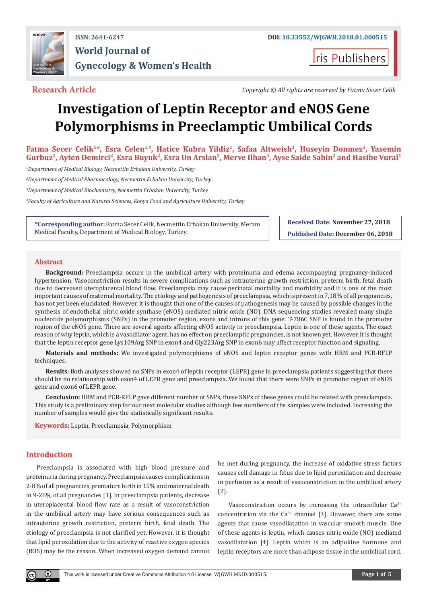

## **ISSN: 2641-6247 DOI: [10.33552/WJGWH.2018.01.000515](http://dx.doi.org/10.33552/WJGWH.2018.01.000515) World Journal of Gynecology & Women's Health**

**I**ris Publishers

**Research Article** *Copyright © All rights are reserved by Fatma Secer Celik*

# **Investigation of Leptin Receptor and eNOS Gene Polymorphisms in Preeclamptic Umbilical Cords**

Fatma Secer Celik<sup>1\*</sup>, Esra Celen<sup>1,4</sup>, Hatice Kubra Yildiz<sup>1</sup>, Safaa Altweish<sup>1</sup>, Huseyin Donmez<sup>1</sup>, Yasemin Gurbuz<sup>1</sup>, Ayten Demirci<sup>2</sup>, Esra Buyuk<sup>2</sup>, Esra Un Arslan<sup>2</sup>, Merve Ilhan<sup>3</sup>, Ayse Saide Sahin<sup>2</sup> and Hasibe Vural<sup>1</sup>

*1 Department of Medical Biology, Necmettin Erbakan University, Turkey*

*2 Department of Medical Pharmacology, Necmettin Erbakan University, Turkey*

*3 Department of Medical Biochemistry, Necmettin Erbakan University, Turkey*

*4 Faculty of Agriculture and Natural Sciences, Konya Food and Agriculture University, Turkey*

**\*Corresponding author:** Fatma Secer Celik, Necmettin Erbakan University, Meram Medical Faculty, Department of Medical Biology, Turkey.

**Received Date: November 27, 2018 Published Date: December 06, 2018**

### **Abstract**

**Background:** Preeclampsia occurs in the umbilical artery with proteinuria and edema accompanying pregnancy-induced hypertension. Vasoconstriction results in severe complications such as intrauterine growth restriction, preterm birth, fetal death due to decreased uteroplacental blood flow. Preeclampsia may cause perinatal mortality and morbidity and it is one of the most important causes of maternal mortality. The etiology and pathogenesis of preeclampsia, which is present in 7,18% of all pregnancies, has not yet been elucidated. However, it is thought that one of the causes of pathogenesis may be caused by possible changes in the synthesis of endothelial nitric oxide synthase (eNOS) mediated nitric oxide (NO). DNA sequencing studies revealed many single nucleotide polymorphisms (SNPs) in the promoter region, exons and introns of this gene. T-786C SNP is found in the promoter region of the eNOS gene. There are several agents affecting eNOS activity in preeclampsia. Leptin is one of these agents. The exact reason of why leptin, which is a vasodilator agent, has no effect on preeclamptic pregnancies, is not known yet. However, it is thought that the leptin receptor gene Lys109Arg SNP in exon4 and Gly223Arg SNP in exon6 may affect receptor function and signaling.

**Materials and methods:** We investigated polymorphisms of eNOS and leptin receptor genes with HRM and PCR-RFLP techniques.

**Results:** Both analyses showed no SNPs in exon4 of leptin receptor (LEPR) gene in preeclampsia patients suggesting that there should be no relationship with exon4 of LEPR gene and preeclampsia. We found that there were SNPs in promoter region of eNOS gene and exon6 of LEPR gene.

**Conclusion:** HRM and PCR-RFLP gave different number of SNPs, these SNPs of these genes could be related with preeclampsia. This study is a preliminary step for our next molecular studies although few numbers of the samples were included. Increasing the number of samples would give the statistically significant results.

**Keywords:** Leptin, Preeclampsia, Polymorphism

### **Introduction**

Preeclampsia is associated with high blood pressure and proteinuria during pregnancy. Preeclampsia causes complications in 2-8% of all pregnancies, premature birth in 15% and maternal death in 9-26% of all pregnancies [1]. In preeclampsia patients, decrease in uteroplacental blood flow rate as a result of vasoconstriction in the umbilical artery may have serious consequences such as intrauterine growth restriction, preterm birth, fetal death. The etiology of preeclampsia is not clarified yet. However, it is thought that lipid peroxidation due to the activity of reactive oxygen species (ROS) may be the reason. When increased oxygen demand cannot be met during pregnancy, the increase of oxidative stress factors causes cell damage in fetus due to lipid peroxidation and decrease in perfusion as a result of vasoconstriction in the umbilical artery [2].

Vasoconstriction occurs by increasing the intracellular  $Ca^{2+}$ concentration via the  $Ca^{2+}$  channel [3]. However, there are some agents that cause vasodilatation in vascular smooth muscle. One of these agents is leptin, which causes nitric oxide (NO) mediated vasodilatation [4]. Leptin which is an adipokine hormone and leptin receptors are more than adipose tissue in the umbilical cord.

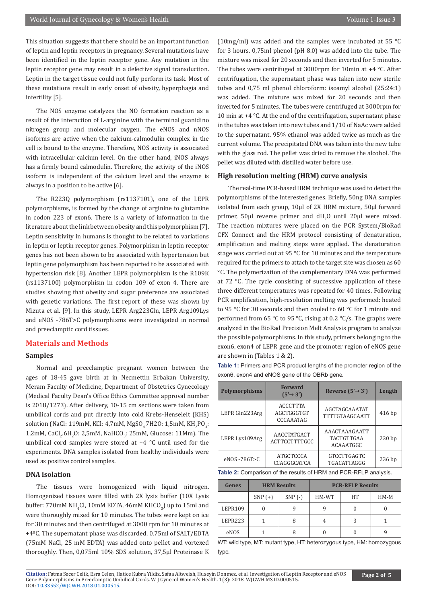This situation suggests that there should be an important function of leptin and leptin receptors in pregnancy. Several mutations have been identified in the leptin receptor gene. Any mutation in the leptin receptor gene may result in a defective signal transduction. Leptin in the target tissue could not fully perform its task. Most of these mutations result in early onset of obesity, hyperphagia and infertility [5].

The NOS enzyme catalyzes the NO formation reaction as a result of the interaction of L-arginine with the terminal guanidino nitrogen group and molecular oxygen. The eNOS and nNOS isoforms are active when the calcium-calmodulin complex in the cell is bound to the enzyme. Therefore, NOS activity is associated with intracellular calcium level. On the other hand, iNOS always has a firmly bound calmodulin. Therefore, the activity of the iNOS isoform is independent of the calcium level and the enzyme is always in a position to be active [6].

The R223Q polymorphism (rs1137101), one of the LEPR polymorphisms, is formed by the change of arginine to glutamine in codon 223 of exon6. There is a variety of information in the literature about the link between obesity and this polymorphism [7]. Leptin sensitivity in humans is thought to be related to variations in leptin or leptin receptor genes. Polymorphism in leptin receptor genes has not been shown to be associated with hypertension but leptin gene polymorphism has been reported to be associated with hypertension risk [8]. Another LEPR polymorphism is the R109K (rs1137100) polymorphism in codon 109 of exon 4. There are studies showing that obesity and sugar preference are associated with genetic variations. The first report of these was shown by Mizuta et al. [9]. In this study, LEPR Arg223Gln, LEPR Arg109Lys and eNOS -786T>C polymorphisms were investigated in normal and preeclamptic cord tissues.

#### **Materials and Methods**

#### **Samples**

Normal and preeclamptic pregnant women between the ages of 18-45 gave birth at in Necmettin Erbakan University, Meram Faculty of Medicine, Department of Obstetrics Gynecology (Medical Faculty Dean's Office Ethics Committee approval number is 2018/1273). After delivery, 10-15 cm sections were taken from umbilical cords and put directly into cold Krebs-Henseleit (KHS) solution (NaCl: 119mM, KCl: 4,7mM, MgSO<sub>4,</sub>7H2O: 1,5mM, KH<sub>2</sub>PO<sub>4</sub>:  $1,2$ mM, CaCl<sub>2</sub>.6H<sub>2</sub>O: 2,5mM, NaHCO<sub>3</sub>: 25mM, Glucose: 11Mm). The umbilical cord samples were stored at +4 °C until used for the experiments. DNA samples isolated from healthy individuals were used as positive control samples.

#### **DNA isolation**

The tissues were homogenized with liquid nitrogen. Homogenized tissues were filled with 2X lysis buffer (10X Lysis buffer: 770mM  $NH_4$ Cl, 10mM EDTA, 46mM  $KHCO_3$ ) up to 15ml and were thoroughly mixed for 10 minutes. The tubes were kept on ice for 30 minutes and then centrifuged at 3000 rpm for 10 minutes at +4ºC. The supernatant phase was discarded. 0,75ml of SALT/EDTA (75mM NaCl, 25 mM EDTA) was added onto pellet and vortexed thoroughly. Then, 0,075ml 10% SDS solution, 37,5μl Proteinase K (10mg/ml) was added and the samples were incubated at 55 °C for 3 hours. 0,75ml phenol (pH 8.0) was added into the tube. The mixture was mixed for 20 seconds and then inverted for 5 minutes. The tubes were centrifuged at 3000rpm for 10min at +4 °C. After centrifugation, the supernatant phase was taken into new sterile tubes and 0,75 ml phenol chloroform: isoamyl alcohol (25:24:1) was added. The mixture was mixed for 20 seconds and then inverted for 5 minutes. The tubes were centrifuged at 3000rpm for 10 min at  $+4$  °C. At the end of the centrifugation, supernatant phase in the tubes was taken into new tubes and 1/10 of NaAc were added to the supernatant. 95% ethanol was added twice as much as the current volume. The precipitated DNA was taken into the new tube with the glass rod. The pellet was dried to remove the alcohol. The pellet was diluted with distilled water before use.

#### **High resolution melting (HRM) curve analysis**

The real-time PCR-based HRM technique was used to detect the polymorphisms of the interested genes. Briefly, 50ng DNA samples isolated from each group, 10µl of 2X HRM mixture, 50µl forward  $p$ rimer, 50 $\mu$ l reverse  $p$ rimer and d $H_2O$  until 20 $\mu$ l were mixed. The reaction mixtures were placed on the PCR System/BioRad CFX Connect and the HRM protocol consisting of denaturation, amplification and melting steps were applied. The denaturation stage was carried out at 95 °C for 10 minutes and the temperature required for the primers to attach to the target site was chosen as 60 °C. The polymerization of the complementary DNA was performed at 72 °C. The cycle consisting of successive application of these three different temperatures was repeated for 40 times. Following PCR amplification, high-resolution melting was performed: heated to 95 °C for 30 seconds and then cooled to 60 °C for 1 minute and performed from 65 °C to 95 °C, rising at 0.2 °C/s. The graphs were analyzed in the BioRad Precision Melt Analysis program to analyze the possible polymorphisms. In this study, primers belonging to the exon6, exon4 of LEPR gene and the promoter region of eNOS gene are shown in (Tables 1 & 2).

**Table 1:** Primers and PCR product lengths of the promoter region of the exon6, exon4 and eNOS gene of the OBRb gene.

| <b>Polymorphisms</b> | <b>Forward</b><br>$(5' \rightarrow 3')$           | Reverse $(5' \rightarrow 3')$                   | Length            |
|----------------------|---------------------------------------------------|-------------------------------------------------|-------------------|
| LEPR Gln223Arg       | <b>ACCCTTTA</b><br>AGCTGGGTGT<br><b>CCCAAATAG</b> | <b>AGCTAGCAAATAT</b><br><b>TTTTGTAAGCAATT</b>   | $416$ bp          |
| LEPR Lys109Arg       | AACCTATGACT<br><b>ACTTCCTTTTGCC</b>               | AAACTAAAGAATT<br><b>TACTGTTGAA</b><br>ACAAATGGC | 230 <sub>bp</sub> |
| eNOS-786T>C          | ATGCTCCCA<br>CCAGGGCATCA                          | <b>GTCCTTGAGTC</b><br>TGACATTAGGG               | 236 <sub>bp</sub> |

**Table 2:** Comparison of the results of HRM and PCR-RFLP analysis.

| <b>Genes</b> | <b>HRM Results</b> |          | <b>PCR-RFLP Results</b> |    |        |
|--------------|--------------------|----------|-------------------------|----|--------|
|              | $SNP (+)$          | $SNP(-)$ | HM-WT                   | HT | $HM-M$ |
| LEPR109      |                    |          |                         |    |        |
| LEPR223      |                    |          |                         |    |        |
| eNOS         |                    |          |                         |    |        |

WT: wild type, MT: mutant type, HT: heterozygous type, HM: homozygous type.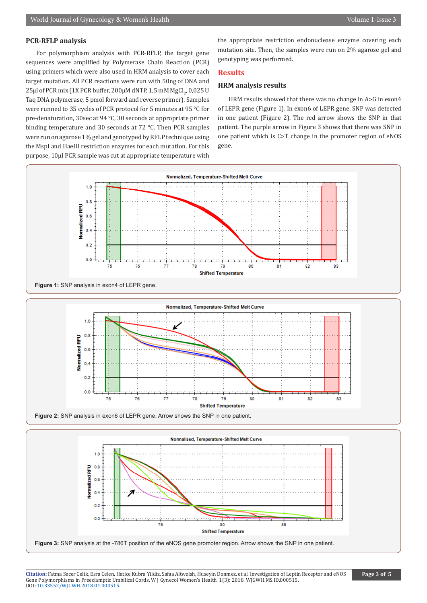#### **PCR-RFLP analysis**

For polymorphism analysis with PCR-RFLP, the target gene sequences were amplified by Polymerase Chain Reaction (PCR) using primers which were also used in HRM analysis to cover each target mutation. All PCR reactions were run with 50ng of DNA and  $25\mu$ l of PCR mix (1X PCR buffer, 200 $\mu$ M dNTP, 1,5 mM MgCl $_2$ , 0,025 U Taq DNA polymerase, 5 pmol forward and reverse primer). Samples were runned to 35 cycles of PCR protocol for 5 minutes at 95 °C for pre-denaturation, 30sec at 94 °C, 30 seconds at appropriate primer binding temperature and 30 seconds at 72 °C. Then PCR samples were run on agarose 1% gel and genotyped by RFLP technique using the MspI and HaeIII restriction enzymes for each mutation. For this purpose, 10μl PCR sample was cut at appropriate temperature with

the appropriate restriction endonuclease enzyme covering each mutation site. Then, the samples were run on 2% agarose gel and genotyping was performed.

#### **Results**

#### **HRM analysis results**

HRM results showed that there was no change in A>G in exon4 of LEPR gene (Figure 1). In exon6 of LEPR gene, SNP was detected in one patient (Figure 2). The red arrow shows the SNP in that patient. The purple arrow in Figure 3 shows that there was SNP in one patient which is C>T change in the promoter region of eNOS gene.



**Citation:** Fatma Secer Celik, Esra Celen, Hatice Kubra Yildiz, Safaa Altweish, Huseyin Donmez, et al. Investigation of Leptin Receptor and eNOS Gen[e Polymorphisms in Preeclamptic Um](http://dx.doi.org/10.33552/WJGWH.2018.01.000515)bilical Cords. W J Gynecol Women's Health. 1(3): 2018. WJGWH.MS.ID.000515. DOI: 10.33552/WJGWH.2018.01.000515.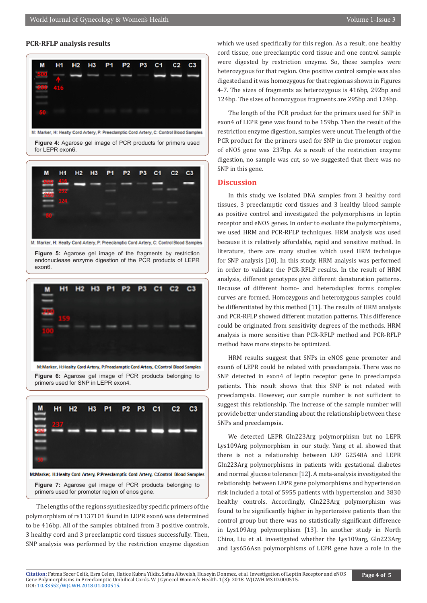#### **PCR-RFLP analysis results**



M: Marker, H: Healty Cord Artery, P: Preeclamptic Cord Artery, C: Control Blood Samples

**Figure 4:** Agarose gel image of PCR products for primers used for LEPR exon6.



M: Marker, H: Healty Cord Artery, P: Preeclamptic Cord Artery, C: Control Blood Samples

**Figure 5:** Agarose gel image of the fragments by restriction endonuclease enzyme digestion of the PCR products of LEPR exon6.



**Figure 6:** Agarose gel image of PCR products belonging to primers used for SNP in LEPR exon4.



The lengths of the regions synthesized by specific primers of the polymorphism of rs1137101 found in LEPR exon6 was determined to be 416bp. All of the samples obtained from 3 positive controls, 3 healthy cord and 3 preeclamptic cord tissues successfully. Then, SNP analysis was performed by the restriction enzyme digestion

which we used specifically for this region. As a result, one healthy cord tissue, one preeclamptic cord tissue and one control sample were digested by restriction enzyme. So, these samples were heterozygous for that region. One positive control sample was also digested and it was homozygous for that region as shown in Figures 4-7. The sizes of fragments as heterozygous is 416bp, 292bp and 124bp. The sizes of homozygous fragments are 295bp and 124bp.

The length of the PCR product for the primers used for SNP in exon4 of LEPR gene was found to be 159bp. Then the result of the restriction enzyme digestion, samples were uncut. The length of the PCR product for the primers used for SNP in the promoter region of eNOS gene was 237bp. As a result of the restriction enzyme digestion, no sample was cut, so we suggested that there was no SNP in this gene.

#### **Discussion**

In this study, we isolated DNA samples from 3 healthy cord tissues, 3 preeclamptic cord tissues and 3 healthy blood sample as positive control and investigated the polymorphisms in leptin receptor and eNOS genes. In order to evaluate the polymorphisms, we used HRM and PCR-RFLP techniques. HRM analysis was used because it is relatively affordable, rapid and sensitive method. In literature, there are many studies which used HRM technique for SNP analysis [10]. In this study, HRM analysis was performed in order to validate the PCR-RFLP results. In the result of HRM analysis, different genotypes give different denaturation patterns. Because of different homo- and heteroduplex forms complex curves are formed. Homozygous and heterozygous samples could be differentiated by this method [11]. The results of HRM analysis and PCR-RFLP showed different mutation patterns. This difference could be originated from sensitivity degrees of the methods. HRM analysis is more sensitive than PCR-RFLP method and PCR-RFLP method have more steps to be optimized.

HRM results suggest that SNPs in eNOS gene promoter and exon6 of LEPR could be related with preeclampsia. There was no SNP detected in exon4 of leptin receptor gene in preeclampsia patients. This result shows that this SNP is not related with preeclampsia. However, our sample number is not sufficient to suggest this relationship. The increase of the sample number will provide better understanding about the relationship between these SNPs and preeclampsia.

We detected LEPR Gln223Arg polymorphism but no LEPR Lys109Arg polymorphism in our study. Yang et al. showed that there is not a relationship between LEP G2548A and LEPR Gln223Arg polymorphisms in patients with gestational diabetes and normal glucose tolerance [12]. A meta-analysis investigated the relationship between LEPR gene polymorphisms and hypertension risk included a total of 5955 patients with hypertension and 3830 healthy controls. Accordingly, Gln223Arg polymorphism was found to be significantly higher in hypertensive patients than the control group but there was no statistically significant difference in Lys109Arg polymorphism [13]. In another study in North China, Liu et al. investigated whether the Lys109arg, Gln223Arg and Lys656Asn polymorphisms of LEPR gene have a role in the